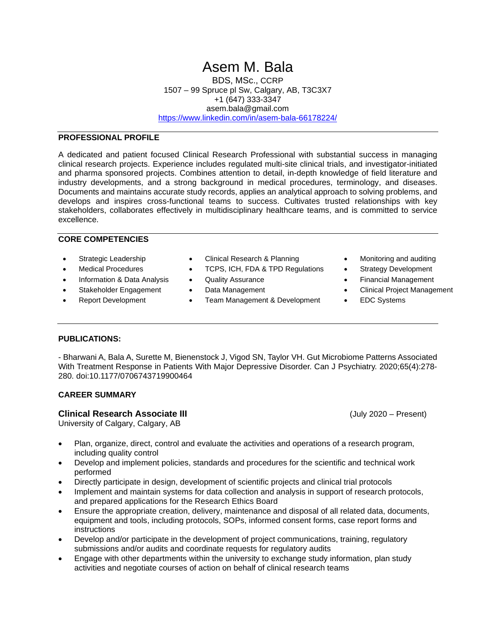# Asem M. Bala

BDS, MSc., CCRP 1507 – 99 Spruce pl Sw, Calgary, AB, T3C3X7 +1 (647) 333-3347 asem.bala@gmail.com <https://www.linkedin.com/in/asem-bala-66178224/>

# **PROFESSIONAL PROFILE**

A dedicated and patient focused Clinical Research Professional with substantial success in managing clinical research projects. Experience includes regulated multi-site clinical trials, and investigator-initiated and pharma sponsored projects. Combines attention to detail, in-depth knowledge of field literature and industry developments, and a strong background in medical procedures, terminology, and diseases. Documents and maintains accurate study records, applies an analytical approach to solving problems, and develops and inspires cross-functional teams to success. Cultivates trusted relationships with key stakeholders, collaborates effectively in multidisciplinary healthcare teams, and is committed to service excellence.

#### **CORE COMPETENCIES**

- 
- 
- Information & Data Analysis Quality Assurance Trimancial Management
- 
- 
- Strategic Leadership Clinical Research & Planning Monitoring and auditing
- Medical Procedures TCPS, ICH, FDA & TPD Regulations Strategy Development
	-
	-
	- Report Development Team Management & Development EDC Systems
- 
- 
- 
- Stakeholder Engagement Data Management Clinical Project Management
	-

## **PUBLICATIONS:**

- Bharwani A, Bala A, Surette M, Bienenstock J, Vigod SN, Taylor VH. Gut Microbiome Patterns Associated With Treatment Response in Patients With Major Depressive Disorder. Can J Psychiatry. 2020;65(4):278- 280. doi:10.1177/0706743719900464

### **CAREER SUMMARY**

## **Clinical Research Associate III** (July 2020 – Present)

University of Calgary, Calgary, AB

- Plan, organize, direct, control and evaluate the activities and operations of a research program, including quality control
- Develop and implement policies, standards and procedures for the scientific and technical work performed
- Directly participate in design, development of scientific projects and clinical trial protocols
- Implement and maintain systems for data collection and analysis in support of research protocols, and prepared applications for the Research Ethics Board
- Ensure the appropriate creation, delivery, maintenance and disposal of all related data, documents, equipment and tools, including protocols, SOPs, informed consent forms, case report forms and instructions
- Develop and/or participate in the development of project communications, training, regulatory submissions and/or audits and coordinate requests for regulatory audits
- Engage with other departments within the university to exchange study information, plan study activities and negotiate courses of action on behalf of clinical research teams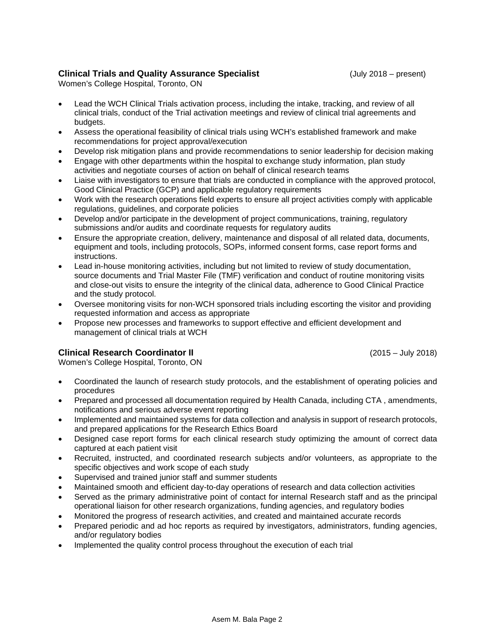# **Clinical Trials and Quality Assurance Specialist** (July 2018 – present)

Women's College Hospital, Toronto, ON

- Lead the WCH Clinical Trials activation process, including the intake, tracking, and review of all clinical trials, conduct of the Trial activation meetings and review of clinical trial agreements and budgets.
- Assess the operational feasibility of clinical trials using WCH's established framework and make recommendations for project approval/execution
- Develop risk mitigation plans and provide recommendations to senior leadership for decision making
- Engage with other departments within the hospital to exchange study information, plan study activities and negotiate courses of action on behalf of clinical research teams
- Liaise with investigators to ensure that trials are conducted in compliance with the approved protocol, Good Clinical Practice (GCP) and applicable regulatory requirements
- Work with the research operations field experts to ensure all project activities comply with applicable regulations, guidelines, and corporate policies
- Develop and/or participate in the development of project communications, training, regulatory submissions and/or audits and coordinate requests for regulatory audits
- Ensure the appropriate creation, delivery, maintenance and disposal of all related data, documents, equipment and tools, including protocols, SOPs, informed consent forms, case report forms and instructions.
- Lead in-house monitoring activities, including but not limited to review of study documentation, source documents and Trial Master File (TMF) verification and conduct of routine monitoring visits and close-out visits to ensure the integrity of the clinical data, adherence to Good Clinical Practice and the study protocol.
- Oversee monitoring visits for non-WCH sponsored trials including escorting the visitor and providing requested information and access as appropriate
- Propose new processes and frameworks to support effective and efficient development and management of clinical trials at WCH

# **Clinical Research Coordinator II** (2015 – July 2018)

Women's College Hospital, Toronto, ON

- Coordinated the launch of research study protocols, and the establishment of operating policies and procedures
- Prepared and processed all documentation required by Health Canada, including CTA , amendments, notifications and serious adverse event reporting
- Implemented and maintained systems for data collection and analysis in support of research protocols, and prepared applications for the Research Ethics Board
- Designed case report forms for each clinical research study optimizing the amount of correct data captured at each patient visit
- Recruited, instructed, and coordinated research subjects and/or volunteers, as appropriate to the specific objectives and work scope of each study
- Supervised and trained junior staff and summer students
- Maintained smooth and efficient day-to-day operations of research and data collection activities
- Served as the primary administrative point of contact for internal Research staff and as the principal operational liaison for other research organizations, funding agencies, and regulatory bodies
- Monitored the progress of research activities, and created and maintained accurate records
- Prepared periodic and ad hoc reports as required by investigators, administrators, funding agencies, and/or regulatory bodies
- Implemented the quality control process throughout the execution of each trial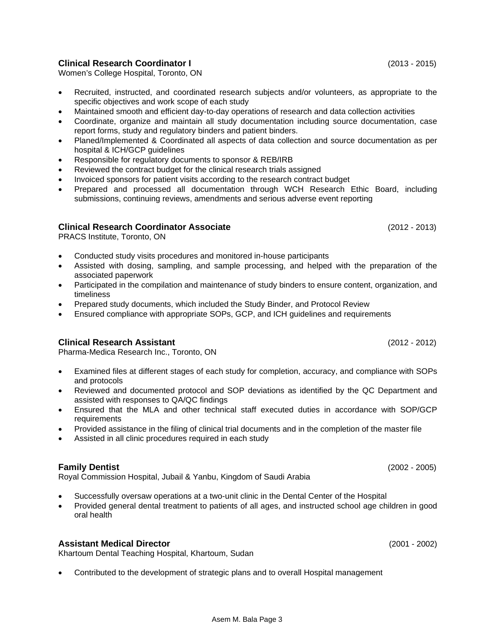# **Clinical Research Coordinator I** (2013 - 2015)

Women's College Hospital, Toronto, ON

- Recruited, instructed, and coordinated research subjects and/or volunteers, as appropriate to the specific objectives and work scope of each study
- Maintained smooth and efficient day-to-day operations of research and data collection activities
- Coordinate, organize and maintain all study documentation including source documentation, case report forms, study and regulatory binders and patient binders.
- Planed/Implemented & Coordinated all aspects of data collection and source documentation as per hospital & ICH/GCP guidelines
- Responsible for regulatory documents to sponsor & REB/IRB
- Reviewed the contract budget for the clinical research trials assigned
- Invoiced sponsors for patient visits according to the research contract budget
- Prepared and processed all documentation through WCH Research Ethic Board, including submissions, continuing reviews, amendments and serious adverse event reporting

# **Clinical Research Coordinator Associate** (2012 - 2013)

PRACS Institute, Toronto, ON

- Conducted study visits procedures and monitored in-house participants
- Assisted with dosing, sampling, and sample processing, and helped with the preparation of the associated paperwork
- Participated in the compilation and maintenance of study binders to ensure content, organization, and timeliness
- Prepared study documents, which included the Study Binder, and Protocol Review
- Ensured compliance with appropriate SOPs, GCP, and ICH guidelines and requirements

# **Clinical Research Assistant** (2012 - 2012)

Pharma-Medica Research Inc., Toronto, ON

- Examined files at different stages of each study for completion, accuracy, and compliance with SOPs and protocols
- Reviewed and documented protocol and SOP deviations as identified by the QC Department and assisted with responses to QA/QC findings
- Ensured that the MLA and other technical staff executed duties in accordance with SOP/GCP requirements
- Provided assistance in the filing of clinical trial documents and in the completion of the master file
- Assisted in all clinic procedures required in each study

# **Family Dentist** (2002 - 2005)

Royal Commission Hospital, Jubail & Yanbu, Kingdom of Saudi Arabia

- Successfully oversaw operations at a two-unit clinic in the Dental Center of the Hospital
- Provided general dental treatment to patients of all ages, and instructed school age children in good oral health

# **Assistant Medical Director** (2001 - 2002)

Khartoum Dental Teaching Hospital, Khartoum, Sudan

• Contributed to the development of strategic plans and to overall Hospital management